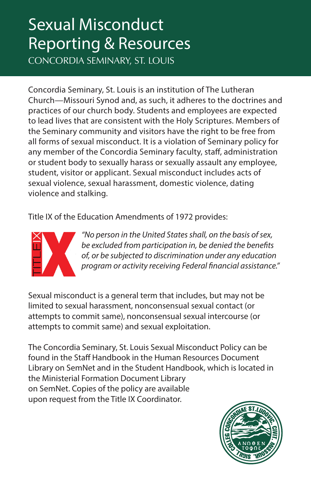# Sexual Misconduct Reporting & Resources

CONCORDIA SEMINARY, ST. LOUIS

Concordia Seminary, St. Louis is an institution of The Lutheran Church—Missouri Synod and, as such, it adheres to the doctrines and practices of our church body. Students and employees are expected to lead lives that are consistent with the Holy Scriptures. Members of the Seminary community and visitors have the right to be free from all forms of sexual misconduct. It is a violation of Seminary policy for any member of the Concordia Seminary faculty, staff, administration or student body to sexually harass or sexually assault any employee, student, visitor or applicant. Sexual misconduct includes acts of sexual violence, sexual harassment, domestic violence, dating violence and stalking.

Title IX of the Education Amendments of 1972 provides:



*"No person in the United States shall, on the basis of sex, be excluded from participation in, be denied the benefits of, or be subjected to discrimination under any education program or activity receiving Federal financial assistance."*

Sexual misconduct is a general term that includes, but may not be limited to sexual harassment, nonconsensual sexual contact (or attempts to commit same), nonconsensual sexual intercourse (or attempts to commit same) and sexual exploitation.

The Concordia Seminary, St. Louis Sexual Misconduct Policy can be found in the Staff Handbook in the Human Resources Document Library on SemNet and in the Student Handbook, which is located in the Ministerial Formation Document Library on SemNet. Copies of the policy are available upon request from the Title IX Coordinator.